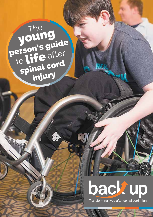The young<br>person's guide to life after **Spinal cord** injury

Ĝ

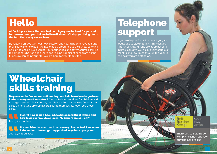# **Hello**

At Back Up we know that a spinal cord injury can be hard for you and for those around you, but we believe it shouldn't stop you living life to the full. That's why we are here.

By reading on, you will hear how children and young people have felt after their injury and how Back Up has made a difference to their lives. Learning new wheelchair skills, pushing your boundaries on activity courses, talking to someone who has been there and feeling happier at school are all the things we can help you with. We are here for your family too.

## Telephone support

If you are happy for us to contact you, we would like to stay in touch. Tim, Michael, Andy A or Andy M, who are all spinal cord injured, can give you a call every couple of months or a few times through the year to see how you are getting on.

## **Wheelchair** skills training

Do you want to feel more confident in your chair, learn how to go down kerbs or use your chin control? We run training sessions for children and young people at spinal centres, hospitals and on our courses. Wheelchair skills trainers, who are spinal cord injured themselves, teach you these skills.

I learnt how to do a back wheel balance without falling and how to go over rough surfaces. My tippers are still off!" Mia, 9, incomplete

It's much better now that I can use my chin control. I am more independent. I'm not getting pushed anywhere by anyone." Joe, 17, injured at C1

**Bolt Burdon** Kemp

Spinal Injury Lawyers

Thank you to Bolt Burdon Kemp who kindly sponsor our wheelchair skills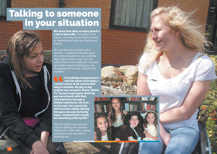## Talking to someone in your situation



We can put you in touch with a mentor — someone who has been in a similar situation to you, whether that's injury level or age. You can talk to them every week for a couple of months about anything you are struggling with as Joe, 17 years old, explains:

Everything changed when I had my spinal cord injury. I couldn't move at all and needed help to breathe. My day to day routine was not good. Sleep. Watch TV. Try not to get upset. Back Up put me in touch with Matt who had been through a similar experience. He lives on his own, has a good job, and has been skiing. Seeing him gave me and my family hope. I realised that I could do something with my life."

We can match your parents, carer or sibling with another relative of a child with a spinal cord injury who can offer a listening ear.



5

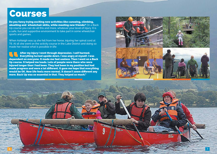### **Courses**

Do you fancy trying exciting new activities like canoeing, climbing, abseiling and wheelchair skills, while meeting new friends? On a Back Up course you can do all this and more, whatever your level of injury. It is a safe, fun and supportive environment to take part in some wheelchair sports and games.

When Ashleigh was 14 she fell from her horse, injuring her spinal cord at T6. At 16 she went on the activity course in the Lake District and doing so made her realise what is possible in life:

After my injury I went through depression. I self harmed. Everything turned upside down. I was angry at myself. I was dependent on everyone. It made me feel useless. Then I went on a Back Up course. It helped me loads. Lots of people were there who were injured longer than I had been. They had been in my position but had made progress and were a lot different. It gave me hope that everything would be OK. Now life feels more normal. It doesn't seem different any more. Back Up was so essential in that. They helped so much."

Eng





 $\frac{1}{2}$   $\frac{1}{2}$   $\frac{1}{2}$   $\frac{1}{2}$   $\frac{1}{2}$   $\frac{1}{2}$   $\frac{1}{2}$   $\frac{1}{2}$   $\frac{1}{2}$   $\frac{1}{2}$   $\frac{1}{2}$   $\frac{1}{2}$   $\frac{1}{2}$   $\frac{1}{2}$   $\frac{1}{2}$   $\frac{1}{2}$   $\frac{1}{2}$   $\frac{1}{2}$   $\frac{1}{2}$   $\frac{1}{2}$   $\frac{1}{2}$   $\frac{1}{2}$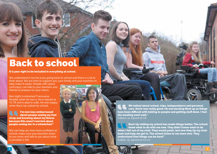## Back to school

It is your right to be included in everything at school.

We understand it can be scary going back to school and there is a lot to think about. We are here to support you, your family and your teachers to

help make it easier. People with spinal cord injury can talk to your teachers and friends to prepare for your return.

Ben (right) contracted Transverse Myelitis when he was 5. He is injured at T2-T8 and is able to walk. He was happy when Back Up visited his school:

I'm now less embarrassed about people seeing my foot strap and knowing about my illness because Ella wasn't worried about people seeing her in a wheelchair."

We can help you feel more confident at school, make sure your teachers listen to you more and talk to you about what is possible in life.



We talked about school, trips, independence and personal care. Kevin was really good. He was backing Mum up as things have been difficult with talking to people and getting stuff done. I feel the meeting went well." Callum, 11, injured at C8

Back Up visiting my school has made things better. The school know what to do with me now. They didn't know what to do when I fell out of my chair. They would panic, but now they tip my chair back and help me get in. The school listen to me more now. They understand that things can be hard." Kaitlan, 15, injured at C2-C3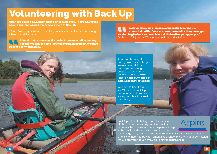# Volunteering with Back Up

Often it is best to be supported by someone like you. That's why young people with spinal cord injury help others at Back Up.

When Yasmin, 15, went on our activity course she met Lauren, our young wheelchair skills trainer:

I found that Lauren was the perfect person to talk about my experience and any problems that could happen in the future because of my disability."

Back Up made me more independent by teaching me wheelchair skills. Once you have those skills, they never go. I wanted to give back so now I teach skills to other young people." Ashleigh, 16, injured at T6, young wheelchair skills trainer

If you are thinking of taking on a new challenge, learning new skills and helping other young people to get the most out of life contact Beth today on 020 8875 1805 or beth@backuptrust.org.uk

We want to hear from you! What can Back Up do better for children and young people with spinal cord injury?

Back Up is here to help you get the most out of life. Our partners at Aspire offer practical services which we recommend. Aspire can help with questions about housing and assistive

technology. They run a free Welfare Benefits Advice Service and Aspire Grants can help you buy equipment like a wheelchair. With your permission we will put you in touch with Aspire. www.aspire.org.uk

**Aspire**